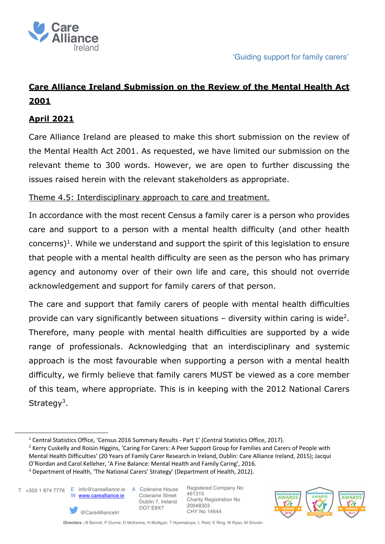

# **Care Alliance Ireland Submission on the Review of the Mental Health Act 2001**

## **April 2021**

Care Alliance Ireland are pleased to make this short submission on the review of the Mental Health Act 2001. As requested, we have limited our submission on the relevant theme to 300 words. However, we are open to further discussing the issues raised herein with the relevant stakeholders as appropriate.

### Theme 4.5: Interdisciplinary approach to care and treatment.

In accordance with the most recent Census a family carer is a person who provides care and support to a person with a mental health difficulty (and other health  $concerns$ <sup>1</sup>. While we understand and support the spirit of this legislation to ensure that people with a mental health difficulty are seen as the person who has primary agency and autonomy over of their own life and care, this should not override acknowledgement and support for family carers of that person.

The care and support that family carers of people with mental health difficulties provide can vary significantly between situations  $-$  diversity within caring is wide<sup>2</sup>. Therefore, many people with mental health difficulties are supported by a wide range of professionals. Acknowledging that an interdisciplinary and systemic approach is the most favourable when supporting a person with a mental health difficulty, we firmly believe that family carers MUST be viewed as a core member of this team, where appropriate. This is in keeping with the 2012 National Carers Strategy<sup>3</sup>.

T +353 1 874 7776 E info@carealliance.ie A Coleraine House W www.carealliance.ie

@CareAllianceIrl

 Coleraine Street Dublin 7, Ireland DO7 E8X7

Registered Company No 461315 Charity Registration No 20048303 CHY No 14644



<sup>&</sup>lt;sup>1</sup> Central Statistics Office, 'Census 2016 Summary Results - Part 1' (Central Statistics Office, 2017).

<sup>&</sup>lt;sup>2</sup> Kerry Cuskelly and Roisin Higgins, 'Caring For Carers: A Peer Support Group for Families and Carers of People with Mental Health Difficulties' (20 Years of Family Carer Research in Ireland, Dublin: Care Alliance Ireland, 2015); Jacqui O'Riordan and Carol Kelleher, 'A Fine Balance: Mental Health and Family Caring', 2016. <sup>3</sup> Department of Health, 'The National Carers' Strategy' (Department of Health, 2012).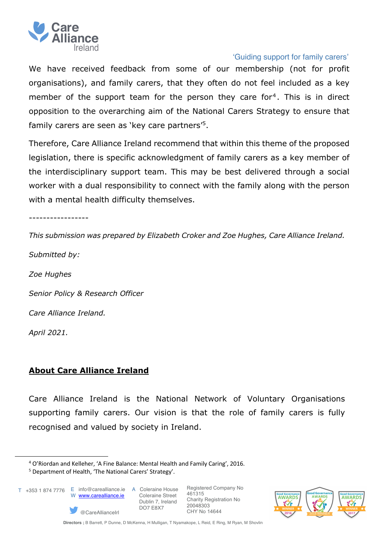

#### 'Guiding support for family carers'

We have received feedback from some of our membership (not for profit organisations), and family carers, that they often do not feel included as a key member of the support team for the person they care for<sup>4</sup>. This is in direct opposition to the overarching aim of the National Carers Strategy to ensure that family carers are seen as 'key care partners'5.

Therefore, Care Alliance Ireland recommend that within this theme of the proposed legislation, there is specific acknowledgment of family carers as a key member of the interdisciplinary support team. This may be best delivered through a social worker with a dual responsibility to connect with the family along with the person with a mental health difficulty themselves.

-----------------

*This submission was prepared by Elizabeth Croker and Zoe Hughes, Care Alliance Ireland. Submitted by:*

*Zoe Hughes*

*Senior Policy & Research Officer*

*Care Alliance Ireland.*

*April 2021.*

## **About Care Alliance Ireland**

Care Alliance Ireland is the National Network of Voluntary Organisations supporting family carers. Our vision is that the role of family carers is fully recognised and valued by society in Ireland.

@CareAllianceIrl

T +353 1 874 7776 E info@carealliance.ie A Coleraine House W www.carealliance.ie

 Coleraine Street Dublin 7, Ireland DO7 E8X7

Registered Company No 461315 Charity Registration No 20048303 CHY No 14644



<sup>4</sup> O'Riordan and Kelleher, 'A Fine Balance: Mental Health and Family Caring', 2016.

<sup>5</sup> Department of Health, 'The National Carers' Strategy'.